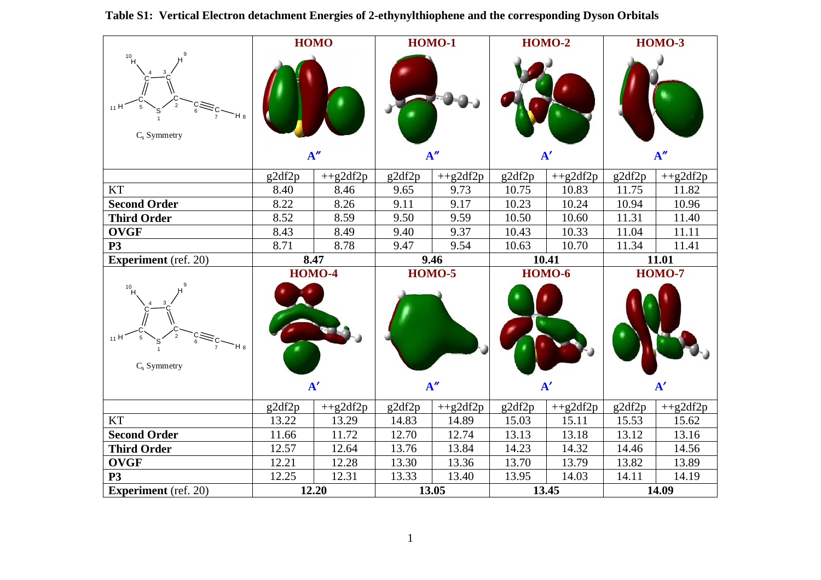|                                                            |        | <b>HOMO</b>                 |        | <b>HOMO-1</b>        |        | $HOMO-2$                    | <b>HOMO-3</b> |                             |
|------------------------------------------------------------|--------|-----------------------------|--------|----------------------|--------|-----------------------------|---------------|-----------------------------|
| 10 <sub>H</sub><br>11H<br>H <sub>8</sub><br>$C_s$ Symmetry |        |                             |        |                      |        |                             |               |                             |
|                                                            |        | A''                         |        | A''                  |        | ${\bf A'}$                  |               | A''                         |
|                                                            | g2df2p | $+$ +g2df2p                 | g2df2p | $+$ +g2df2p          | g2df2p | $+$ +g2df2p                 | g2df2p        | $+$ +g2df2p                 |
| <b>KT</b>                                                  | 8.40   | 8.46                        | 9.65   | 9.73                 | 10.75  | 10.83                       | 11.75         | 11.82                       |
| <b>Second Order</b>                                        | 8.22   | 8.26                        | 9.11   | 9.17                 | 10.23  | 10.24                       | 10.94         | 10.96                       |
| <b>Third Order</b>                                         | 8.52   | 8.59                        | 9.50   | 9.59                 | 10.50  | 10.60                       | 11.31         | 11.40                       |
| <b>OVGF</b>                                                | 8.43   | 8.49                        | 9.40   | 9.37                 | 10.43  | 10.33                       | 11.04         | 11.11                       |
| $\overline{P3}$                                            | 8.71   | 8.78                        | 9.47   | 9.54                 | 10.63  | 10.70                       | 11.34         | 11.41                       |
| <b>Experiment</b> (ref. 20)                                |        | 8.47                        |        | 9.46                 | 10.41  |                             | 11.01         |                             |
| $10$ H<br>11 H<br>$H^{\bullet}$<br>$C_s$ Symmetry          |        | <b>HOMO-4</b><br>${\bf A'}$ |        | <b>HOMO-5</b><br>A'' |        | <b>HOMO-6</b><br>${\bf A'}$ |               | <b>HOMO-7</b><br>${\bf A'}$ |
|                                                            | g2df2p | $+$ +g2df2p                 | g2df2p | $+$ +g2df2p          | g2df2p | $+g2df2p$                   | g2df2p        | $+$ +g2df2p                 |
| <b>KT</b>                                                  | 13.22  | 13.29                       | 14.83  | 14.89                | 15.03  | 15.11                       | 15.53         | 15.62                       |
| <b>Second Order</b>                                        | 11.66  | 11.72                       | 12.70  | 12.74                | 13.13  | 13.18                       | 13.12         | 13.16                       |
| <b>Third Order</b>                                         | 12.57  | 12.64                       | 13.76  | 13.84                | 14.23  | 14.32                       | 14.46         | 14.56                       |
| <b>OVGF</b>                                                | 12.21  | 12.28                       | 13.30  | 13.36                | 13.70  | 13.79                       | 13.82         | 13.89                       |
| <b>P3</b>                                                  | 12.25  | 12.31                       | 13.33  | 13.40                | 13.95  | 14.03                       | 14.11         | 14.19                       |
| <b>Experiment</b> (ref. 20)                                |        | 12.20                       |        | 13.05                |        | 13.45                       |               | 14.09                       |

**Table S1: Vertical Electron detachment Energies of 2-ethynylthiophene and the corresponding Dyson Orbitals**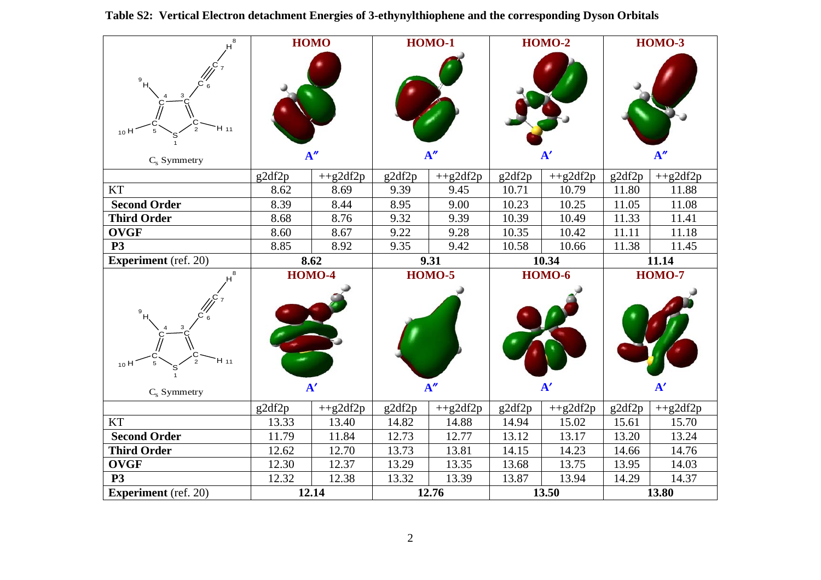| 8                                                         |        | <b>HOMO</b>                 |        | $HOMO-1$        |            | <b>HOMO-2</b>               | <b>HOMO-3</b>  |                             |
|-----------------------------------------------------------|--------|-----------------------------|--------|-----------------|------------|-----------------------------|----------------|-----------------------------|
| 9<br>H 11<br>$_{10}$ H<br>$C_s$ Symmetry                  | A''    |                             | A''    |                 | ${\bf A'}$ |                             | $\mathbf{A}''$ |                             |
|                                                           | g2df2p | $+$ +g2df2p                 | g2df2p | $+$ +g2df2p     | g2df2p     | $+$ +g2df2p                 | g2df2p         | $+$ +g2df2p                 |
| <b>KT</b>                                                 | 8.62   | 8.69                        | 9.39   | 9.45            | 10.71      | 10.79                       | 11.80          | 11.88                       |
| <b>Second Order</b>                                       | 8.39   | 8.44                        | 8.95   | 9.00            | 10.23      | 10.25                       | 11.05          | 11.08                       |
| <b>Third Order</b>                                        | 8.68   | 8.76                        | 9.32   | 9.39            | 10.39      | 10.49                       | 11.33          | 11.41                       |
| <b>OVGF</b>                                               | 8.60   | 8.67                        | 9.22   | 9.28            | 10.35      | 10.42                       | 11.11          | 11.18                       |
| <b>P3</b>                                                 | 8.85   | 8.92                        | 9.35   | 9.42            | 10.58      | 10.66                       | 11.38          | 11.45                       |
| <b>Experiment</b> (ref. 20)                               | 8.62   |                             | 9.31   |                 | 10.34      |                             | 11.14          |                             |
|                                                           |        |                             |        |                 |            |                             |                |                             |
| 8<br>9<br>H 11<br>$\overline{2}$<br>10H<br>$C_s$ Symmetry |        | <b>HOMO-4</b><br>${\bf A'}$ |        | $HOMO-5$<br>A'' |            | <b>HOMO-6</b><br>${\bf A'}$ |                | <b>HOMO-7</b><br>${\bf A'}$ |
|                                                           | g2df2p | $+$ +g2df2p                 | g2df2p | $+$ +g2df2p     | g2df2p     | $+$ +g2df2p                 | g2df2p         | $+$ +g2df2p                 |
| <b>KT</b>                                                 | 13.33  | 13.40                       | 14.82  | 14.88           | 14.94      | 15.02                       | 15.61          | 15.70                       |
| <b>Second Order</b>                                       | 11.79  | 11.84                       | 12.73  | 12.77           | 13.12      | 13.17                       | 13.20          | 13.24                       |
| <b>Third Order</b>                                        | 12.62  | 12.70                       | 13.73  | 13.81           | 14.15      | 14.23                       | 14.66          | 14.76                       |
| <b>OVGF</b>                                               | 12.30  | 12.37                       | 13.29  | 13.35           | 13.68      | 13.75                       | 13.95          | 14.03                       |
| <b>P3</b><br><b>Experiment</b> (ref. 20)                  | 12.32  | 12.38<br>12.14              | 13.32  | 13.39<br>12.76  | 13.87      | 13.94<br>13.50              | 14.29          | 14.37<br>13.80              |

|  | Table S2: Vertical Electron detachment Energies of 3-ethynylthiophene and the corresponding Dyson Orbitals |  |  |  |  |  |  |  |
|--|------------------------------------------------------------------------------------------------------------|--|--|--|--|--|--|--|
|--|------------------------------------------------------------------------------------------------------------|--|--|--|--|--|--|--|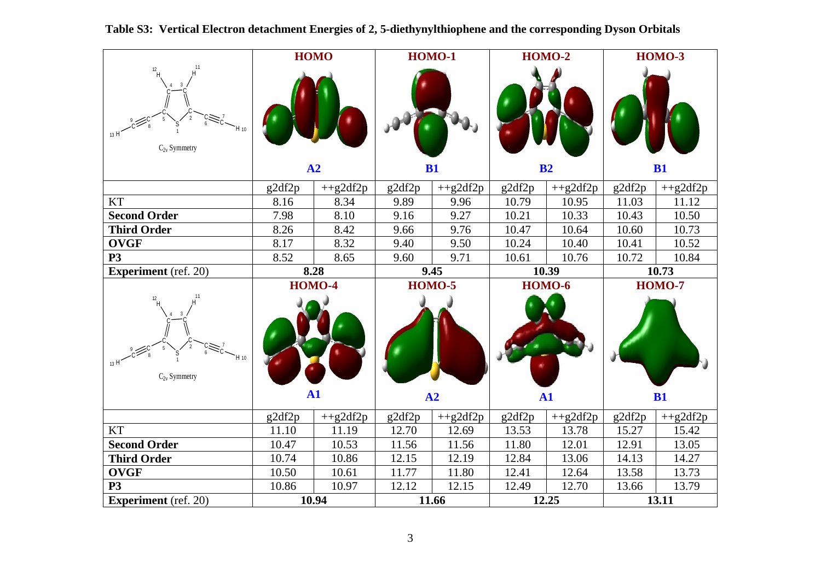|                                                      |        | <b>HOMO</b>                 |        | <b>HOMO-1</b>       |        | <b>HOMO-2</b>               | <b>HOMO-3</b> |                     |
|------------------------------------------------------|--------|-----------------------------|--------|---------------------|--------|-----------------------------|---------------|---------------------|
| $12$ H<br>$H_{10}$<br>$C_{2v}$ Symmetry              | A2     |                             |        |                     |        |                             |               |                     |
|                                                      |        |                             |        | B1                  | B2     |                             |               | B1                  |
|                                                      | g2df2p | $+$ +g2df2p                 | g2df2p | $+$ +g2df2p         | g2df2p | $+$ +g2df2p                 | g2df2p        | $+$ +g2df2p         |
| <b>KT</b>                                            | 8.16   | 8.34                        | 9.89   | 9.96                | 10.79  | 10.95                       | 11.03         | 11.12               |
| <b>Second Order</b>                                  | 7.98   | 8.10                        | 9.16   | 9.27                | 10.21  | 10.33                       | 10.43         | 10.50               |
| <b>Third Order</b>                                   | 8.26   | 8.42                        | 9.66   | 9.76                | 10.47  | 10.64                       | 10.60         | 10.73               |
| <b>OVGF</b>                                          | 8.17   | 8.32                        | 9.40   | 9.50                | 10.24  | 10.40                       | 10.41         | 10.52               |
| <b>P3</b>                                            | 8.52   | 8.65                        | 9.60   | 9.71                | 10.61  | 10.76                       | 10.72         | 10.84               |
| <b>Experiment</b> (ref. 20)                          | 8.28   |                             |        | 9.45                |        | 10.39                       |               | 10.73               |
|                                                      |        |                             |        |                     |        |                             |               |                     |
| $12$ H<br>$H_{10}$<br>$_{13}$ H<br>$C_{2v}$ Symmetry |        | <b>HOMO-4</b><br>${\bf A1}$ |        | <b>HOMO-5</b><br>A2 |        | <b>HOMO-6</b><br>${\bf A1}$ |               | <b>HOMO-7</b><br>B1 |
|                                                      | g2df2p | $+$ +g2df2p                 | g2df2p | $+$ +g2df2p         | g2df2p | $+$ +g2df2p                 | g2df2p        | $+$ +g2df2p         |
| <b>KT</b>                                            | 11.10  | 11.19                       | 12.70  | 12.69               | 13.53  | 13.78                       | 15.27         | 15.42               |
| <b>Second Order</b>                                  | 10.47  | 10.53                       | 11.56  | 11.56               | 11.80  | 12.01                       | 12.91         | 13.05               |
| <b>Third Order</b>                                   | 10.74  | 10.86                       | 12.15  | 12.19               | 12.84  | 13.06                       | 14.13         | 14.27               |
| <b>OVGF</b>                                          | 10.50  | 10.61                       | 11.77  | 11.80               | 12.41  | 12.64                       | 13.58         | 13.73               |
| P <sub>3</sub><br><b>Experiment</b> (ref. 20)        | 10.86  | 10.97<br>10.94              | 12.12  | 12.15<br>11.66      | 12.49  | 12.70<br>12.25              | 13.66         | 13.79<br>13.11      |

## **Table S3: Vertical Electron detachment Energies of 2, 5-diethynylthiophene and the corresponding Dyson Orbitals**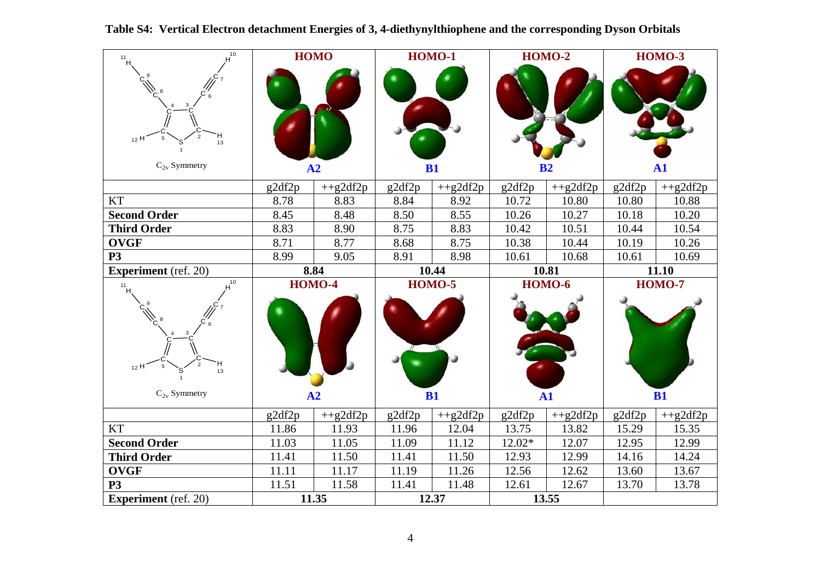| $H^{\overline{10}}$<br>11                | <b>HOMO</b> |                |        | <b>HOMO-1</b>  |                | <b>HOMO-2</b>  | <b>HOMO-3</b> |                     |
|------------------------------------------|-------------|----------------|--------|----------------|----------------|----------------|---------------|---------------------|
| $_{12}$ H<br>13<br>$C_{2v}$ Symmetry     | A2          |                | B1     |                | B <sub>2</sub> |                | ${\bf A1}$    |                     |
|                                          | g2df2p      | $+$ +g2df2p    | g2df2p | $+$ +g2df2p    | g2df2p         | $+$ +g2df2p    | g2df2p        | $+$ +g2df2p         |
| <b>KT</b>                                | 8.78        | 8.83           | 8.84   | 8.92           | 10.72          | 10.80          | 10.80         | 10.88               |
| <b>Second Order</b>                      | 8.45        | 8.48           | 8.50   | 8.55           | 10.26          | 10.27          | 10.18         | 10.20               |
| <b>Third Order</b>                       | 8.83        | 8.90           | 8.75   | 8.83           | 10.42          | 10.51          | 10.44         | 10.54               |
| <b>OVGF</b>                              | 8.71        | 8.77           | 8.68   | 8.75           | 10.38          | 10.44          | 10.19         | 10.26               |
| <b>P3</b>                                | 8.99        | 9.05           | 8.91   | 8.98           | 10.61          | 10.68          | 10.61         | 10.69               |
| <b>Experiment</b> (ref. 20)              |             | 8.84           |        | 10.44          |                | 10.81          |               | 11.10               |
| $10$<br>$11$ H<br><sub>12</sub> H<br>13  |             | <b>HOMO-4</b>  |        | $HOMO-5$       |                | <b>HOMO-6</b>  |               | <b>HOMO-7</b><br>B1 |
| $C_{2v}$ Symmetry                        |             | A2             |        | B1             | $\mathbf{A1}$  |                |               |                     |
|                                          | g2df2p      | $+$ +g2df2p    | g2df2p | $+$ +g2df2p    | g2df2p         | $+$ +g2df2p    | g2df2p        | $+$ +g2df2p         |
| <b>KT</b>                                | 11.86       | 11.93          | 11.96  | 12.04          | 13.75          | 13.82          | 15.29         | 15.35               |
| <b>Second Order</b>                      | 11.03       | 11.05          | 11.09  | 11.12          | 12.02*         | 12.07          | 12.95         | 12.99               |
| <b>Third Order</b>                       | 11.41       | 11.50          | 11.41  | 11.50          | 12.93          | 12.99          | 14.16         | 14.24               |
| <b>OVGF</b>                              | 11.11       | 11.17          | 11.19  | 11.26          | 12.56          | 12.62          | 13.60         | 13.67               |
| <b>P3</b><br><b>Experiment</b> (ref. 20) | 11.51       | 11.58<br>11.35 | 11.41  | 11.48<br>12.37 | 12.61          | 12.67<br>13.55 | 13.70         | 13.78               |

## **Table S4: Vertical Electron detachment Energies of 3, 4-diethynylthiophene and the corresponding Dyson Orbitals**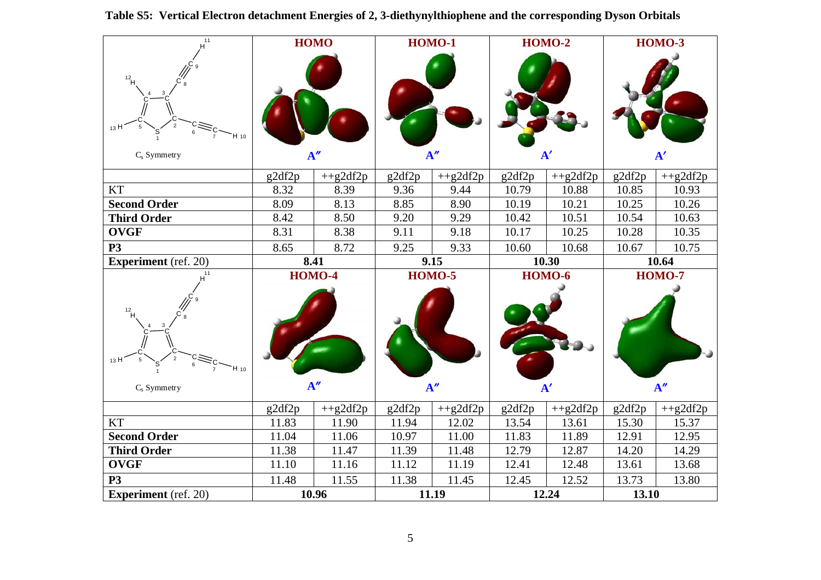| $H^{11}$                                 | <b>HOMO</b> |                      | <b>HOMO-1</b> |                      | <b>HOMO-2</b> |                             | <b>HOMO-3</b> |                      |
|------------------------------------------|-------------|----------------------|---------------|----------------------|---------------|-----------------------------|---------------|----------------------|
| $12$ H<br>13F<br>`H 10<br>$C_s$ Symmetry | A''         |                      | A''           |                      | ${\bf A'}$    |                             | ${\bf A'}$    |                      |
|                                          | g2df2p      | $+$ +g2df2p          | g2df2p        | $+$ +g2df2p          | g2df2p        | $+$ +g2df2p                 | g2df2p        | $+$ +g2df2p          |
| <b>KT</b>                                | 8.32        | 8.39                 | 9.36          | 9.44                 | 10.79         | 10.88                       | 10.85         | 10.93                |
| <b>Second Order</b>                      | 8.09        | 8.13                 | 8.85          | 8.90                 | 10.19         | 10.21                       | 10.25         | 10.26                |
| <b>Third Order</b>                       | 8.42        | 8.50                 | 9.20          | 9.29                 | 10.42         | 10.51                       | 10.54         | 10.63                |
| <b>OVGF</b>                              | 8.31        | 8.38                 | 9.11          | 9.18                 | 10.17         | 10.25                       | 10.28         | 10.35                |
| <b>P3</b>                                | 8.65        | 8.72                 | 9.25          | 9.33                 | 10.60         | 10.68                       | 10.67         | 10.75                |
| <b>Experiment</b> (ref. 20)              |             | 8.41                 |               | 9.15                 |               | 10.30                       |               | 10.64                |
|                                          |             |                      |               |                      |               |                             |               |                      |
| 12<br>13F<br>`H 10<br>$C_s$ Symmetry     |             | <b>HOMO-4</b><br>A'' |               | <b>HOMO-5</b><br>A'' |               | <b>HOMO-6</b><br>${\bf A'}$ |               | <b>HOMO-7</b><br>A'' |
|                                          | g2df2p      | $+$ +g2df2p          | g2df2p        | $+$ +g2df2p          | g2df2p        | $+$ +g2df2p                 | g2df2p        | $+$ +g2df2p          |
| <b>KT</b>                                | 11.83       | 11.90                | 11.94         | 12.02                | 13.54         | 13.61                       | 15.30         | 15.37                |
| <b>Second Order</b>                      | 11.04       | 11.06                | 10.97         | 11.00                | 11.83         | 11.89                       | 12.91         | 12.95                |
| <b>Third Order</b>                       | 11.38       | 11.47                | 11.39         | 11.48                | 12.79         | 12.87                       | 14.20         | 14.29                |
| <b>OVGF</b>                              | 11.10       | 11.16                | 11.12         | 11.19                | 12.41         | 12.48                       | 13.61         | 13.68                |
| <b>P3</b>                                | 11.48       | 11.55                | 11.38         | 11.45                | 12.45         | 12.52                       | 13.73         | 13.80                |

## **Table S5: Vertical Electron detachment Energies of 2, 3-diethynylthiophene and the corresponding Dyson Orbitals**